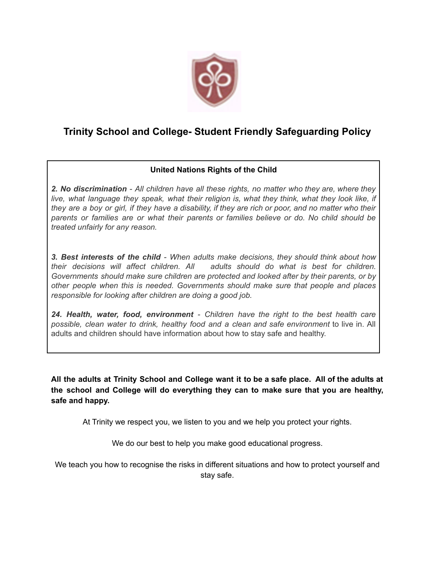

# **Trinity School and College- Student Friendly Safeguarding Policy**

## **United Nations Rights of the Child**

*2. No discrimination - All children have all these rights, no matter who they are, where they live, what language they speak, what their religion is, what they think, what they look like, if* they are a boy or girl, if they have a disability, if they are rich or poor, and no matter who their *parents or families are or what their parents or families believe or do. No child should be treated unfairly for any reason.*

*3. Best interests of the child - When adults make decisions, they should think about how their decisions will affect children. All adults should do what is best for children. Governments should make sure children are protected and looked after by their parents, or by other people when this is needed. Governments should make sure that people and places responsible for looking after children are doing a good job.*

*24. Health, water, food, environment - Children have the right to the best health care possible, clean water to drink, healthy food and a clean and safe environment* to live in. All adults and children should have information about how to stay safe and healthy.

All the adults at Trinity School and College want it to be a safe place. All of the adults at **the school and College will do everything they can to make sure that you are healthy, safe and happy.**

At Trinity we respect you, we listen to you and we help you protect your rights.

We do our best to help you make good educational progress.

We teach you how to recognise the risks in different situations and how to protect yourself and stay safe.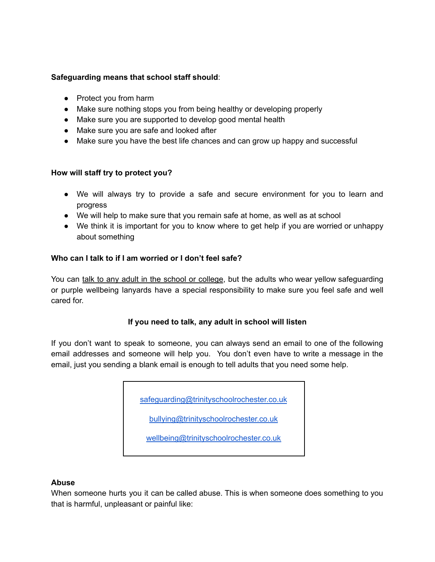#### **Safeguarding means that school staff should**:

- Protect you from harm
- Make sure nothing stops you from being healthy or developing properly
- Make sure you are supported to develop good mental health
- Make sure you are safe and looked after
- Make sure you have the best life chances and can grow up happy and successful

## **How will staff try to protect you?**

- We will always try to provide a safe and secure environment for you to learn and progress
- We will help to make sure that you remain safe at home, as well as at school
- We think it is important for you to know where to get help if you are worried or unhappy about something

## **Who can I talk to if I am worried or I don't feel safe?**

You can talk to any adult in the school or college, but the adults who wear yellow safeguarding or purple wellbeing lanyards have a special responsibility to make sure you feel safe and well cared for.

## **If you need to talk, any adult in school will listen**

If you don't want to speak to someone, you can always send an email to one of the following email addresses and someone will help you. You don't even have to write a message in the email, just you sending a blank email is enough to tell adults that you need some help.

[safeguarding@trinityschoolrochester.co.uk](mailto:safeguarding@trinityschoolrochester.co.uk)

[bullying@trinityschoolrochester.co.uk](mailto:bullying@trinityschoolrochester.co.uk)

[wellbeing@trinityschoolrochester.co.uk](mailto:wellbeing@trinityschoolrochester.co.uk)

#### **Abuse**

When someone hurts you it can be called abuse. This is when someone does something to you that is harmful, unpleasant or painful like: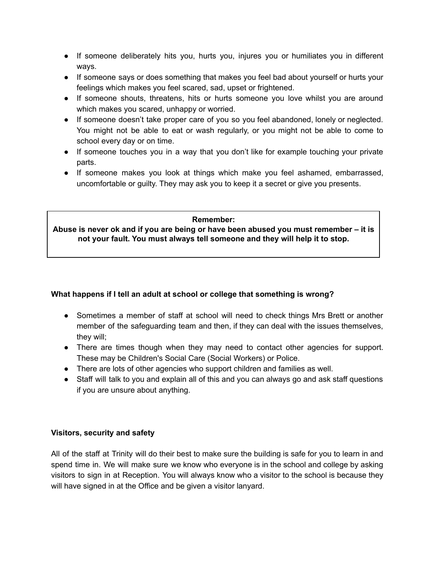- If someone deliberately hits you, hurts you, injures you or humiliates you in different ways.
- If someone says or does something that makes you feel bad about yourself or hurts your feelings which makes you feel scared, sad, upset or frightened.
- If someone shouts, threatens, hits or hurts someone you love whilst you are around which makes you scared, unhappy or worried.
- If someone doesn't take proper care of you so you feel abandoned, lonely or neglected. You might not be able to eat or wash regularly, or you might not be able to come to school every day or on time.
- If someone touches you in a way that you don't like for example touching your private parts.
- If someone makes you look at things which make you feel ashamed, embarrassed, uncomfortable or guilty. They may ask you to keep it a secret or give you presents.

#### **Remember:**

**Abuse is never ok and if you are being or have been abused you must remember – it is not your fault. You must always tell someone and they will help it to stop.**

## **What happens if I tell an adult at school or college that something is wrong?**

- Sometimes a member of staff at school will need to check things Mrs Brett or another member of the safeguarding team and then, if they can deal with the issues themselves, they will;
- There are times though when they may need to contact other agencies for support. These may be Children's Social Care (Social Workers) or Police.
- There are lots of other agencies who support children and families as well.
- Staff will talk to you and explain all of this and you can always go and ask staff questions if you are unsure about anything.

## **Visitors, security and safety**

All of the staff at Trinity will do their best to make sure the building is safe for you to learn in and spend time in. We will make sure we know who everyone is in the school and college by asking visitors to sign in at Reception. You will always know who a visitor to the school is because they will have signed in at the Office and be given a visitor lanyard.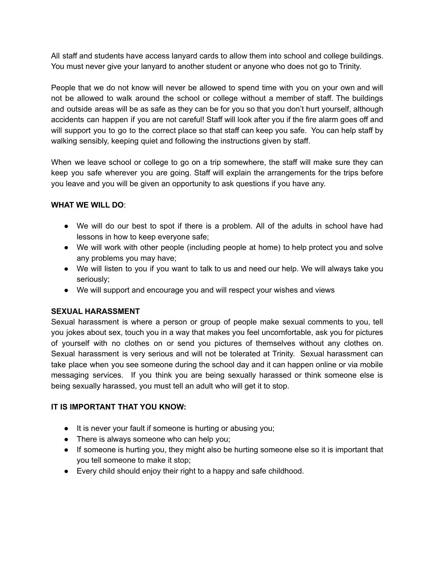All staff and students have access lanyard cards to allow them into school and college buildings. You must never give your lanyard to another student or anyone who does not go to Trinity.

People that we do not know will never be allowed to spend time with you on your own and will not be allowed to walk around the school or college without a member of staff. The buildings and outside areas will be as safe as they can be for you so that you don't hurt yourself, although accidents can happen if you are not careful! Staff will look after you if the fire alarm goes off and will support you to go to the correct place so that staff can keep you safe. You can help staff by walking sensibly, keeping quiet and following the instructions given by staff.

When we leave school or college to go on a trip somewhere, the staff will make sure they can keep you safe wherever you are going. Staff will explain the arrangements for the trips before you leave and you will be given an opportunity to ask questions if you have any.

## **WHAT WE WILL DO**:

- We will do our best to spot if there is a problem. All of the adults in school have had lessons in how to keep everyone safe;
- We will work with other people (including people at home) to help protect you and solve any problems you may have;
- We will listen to you if you want to talk to us and need our help. We will always take you seriously;
- We will support and encourage you and will respect your wishes and views

## **SEXUAL HARASSMENT**

Sexual harassment is where a person or group of people make sexual comments to you, tell you jokes about sex, touch you in a way that makes you feel uncomfortable, ask you for pictures of yourself with no clothes on or send you pictures of themselves without any clothes on. Sexual harassment is very serious and will not be tolerated at Trinity. Sexual harassment can take place when you see someone during the school day and it can happen online or via mobile messaging services. If you think you are being sexually harassed or think someone else is being sexually harassed, you must tell an adult who will get it to stop.

## **IT IS IMPORTANT THAT YOU KNOW:**

- It is never your fault if someone is hurting or abusing you;
- There is always someone who can help you;
- If someone is hurting you, they might also be hurting someone else so it is important that you tell someone to make it stop;
- Every child should enjoy their right to a happy and safe childhood.